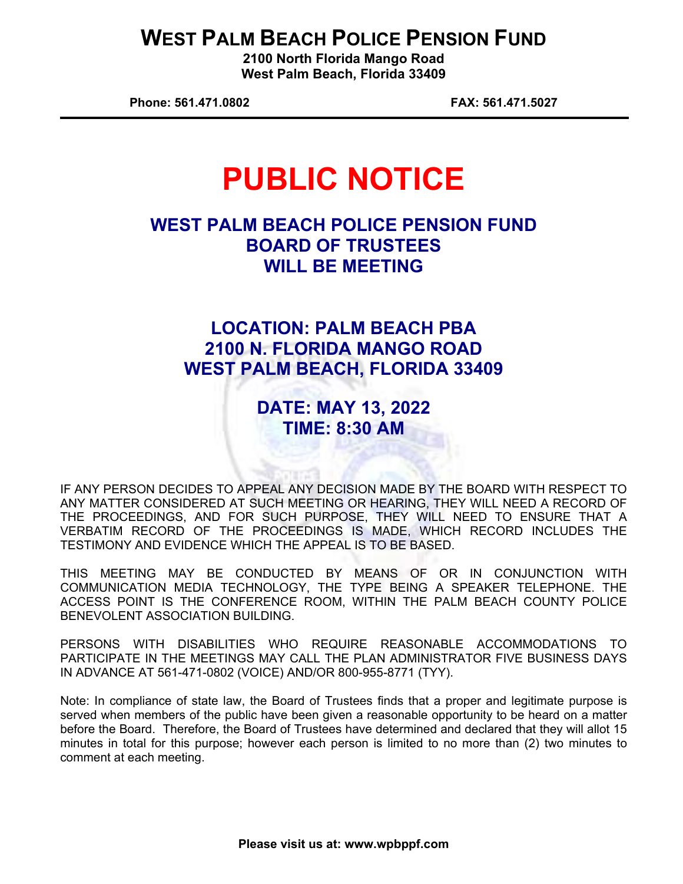## **WEST PALM BEACH POLICE PENSION FUND**

**2100 North Florida Mango Road West Palm Beach, Florida 33409** 

**Phone: 561.471.0802 FAX: 561.471.5027** 

# **PUBLIC NOTICE**

#### **WEST PALM BEACH POLICE PENSION FUND BOARD OF TRUSTEES WILL BE MEETING**

### **LOCATION: PALM BEACH PBA 2100 N. FLORIDA MANGO ROAD WEST PALM BEACH, FLORIDA 33409**

**DATE: MAY 13, 2022 TIME: 8:30 AM** 

IF ANY PERSON DECIDES TO APPEAL ANY DECISION MADE BY THE BOARD WITH RESPECT TO ANY MATTER CONSIDERED AT SUCH MEETING OR HEARING, THEY WILL NEED A RECORD OF THE PROCEEDINGS, AND FOR SUCH PURPOSE, THEY WILL NEED TO ENSURE THAT A VERBATIM RECORD OF THE PROCEEDINGS IS MADE, WHICH RECORD INCLUDES THE TESTIMONY AND EVIDENCE WHICH THE APPEAL IS TO BE BASED.

THIS MEETING MAY BE CONDUCTED BY MEANS OF OR IN CONJUNCTION WITH COMMUNICATION MEDIA TECHNOLOGY, THE TYPE BEING A SPEAKER TELEPHONE. THE ACCESS POINT IS THE CONFERENCE ROOM, WITHIN THE PALM BEACH COUNTY POLICE BENEVOLENT ASSOCIATION BUILDING.

PERSONS WITH DISABILITIES WHO REQUIRE REASONABLE ACCOMMODATIONS TO PARTICIPATE IN THE MEETINGS MAY CALL THE PLAN ADMINISTRATOR FIVE BUSINESS DAYS IN ADVANCE AT 561-471-0802 (VOICE) AND/OR 800-955-8771 (TYY).

Note: In compliance of state law, the Board of Trustees finds that a proper and legitimate purpose is served when members of the public have been given a reasonable opportunity to be heard on a matter before the Board. Therefore, the Board of Trustees have determined and declared that they will allot 15 minutes in total for this purpose; however each person is limited to no more than (2) two minutes to comment at each meeting.